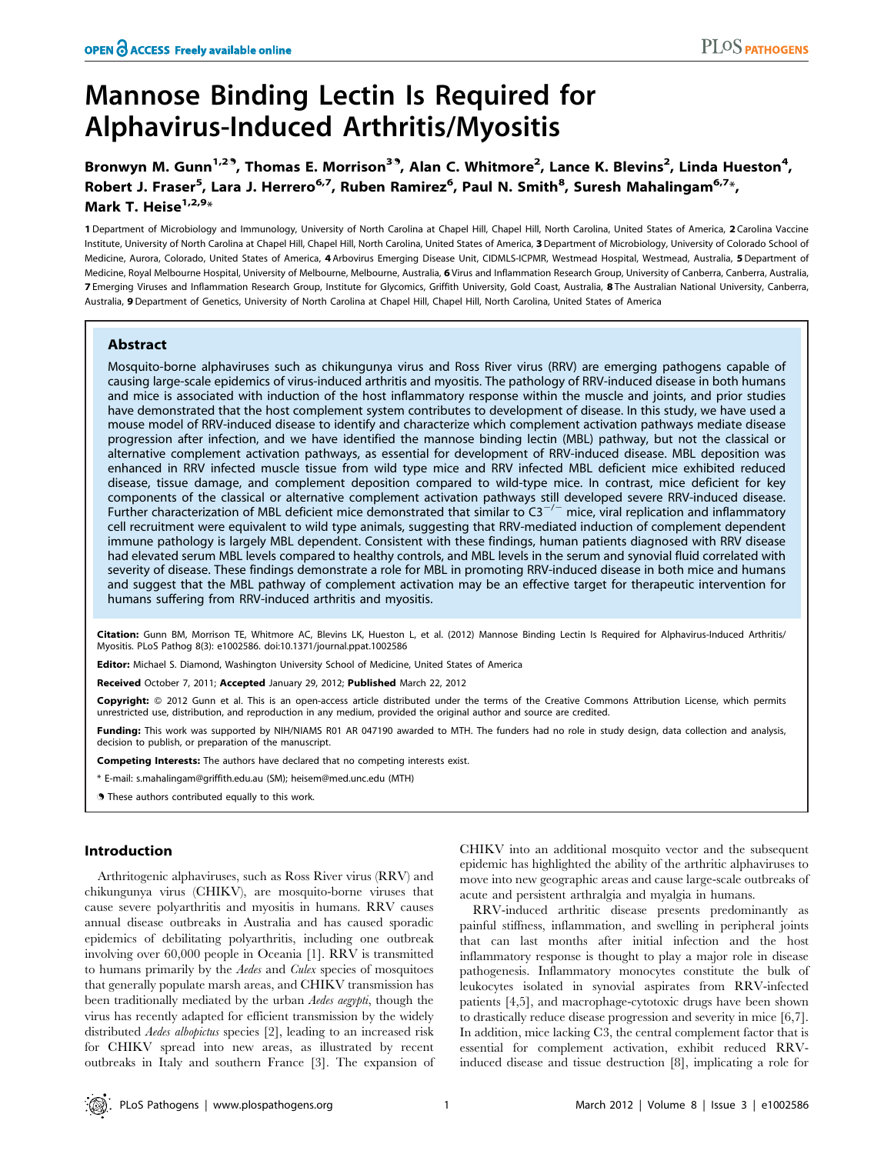# Mannose Binding Lectin Is Required for Alphavirus-Induced Arthritis/Myositis

Bronwyn M. Gunn<sup>1,29</sup>, Thomas E. Morrison<sup>39</sup>, Alan C. Whitmore<sup>2</sup>, Lance K. Blevins<sup>2</sup>, Linda Hueston<sup>4</sup>, Robert J. Fraser<sup>5</sup>, Lara J. Herrero<sup>6,7</sup>, Ruben Ramirez<sup>6</sup>, Paul N. Smith<sup>8</sup>, Suresh Mahalingam<sup>6,7</sup>\*, Mark T. Heise $1,2,9*$ 

1 Department of Microbiology and Immunology, University of North Carolina at Chapel Hill, Chapel Hill, North Carolina, United States of America, 2 Carolina Vaccine Institute, University of North Carolina at Chapel Hill, Chapel Hill, North Carolina, United States of America, 3Department of Microbiology, University of Colorado School of Medicine, Aurora, Colorado, United States of America, 4 Arbovirus Emerging Disease Unit, CIDMLS-ICPMR, Westmead Hospital, Westmead, Australia, 5 Department of Medicine, Royal Melbourne Hospital, University of Melbourne, Melbourne, Australia, 6 Virus and Inflammation Research Group, University of Canberra, Canberra, Australia, 7 Emerging Viruses and Inflammation Research Group, Institute for Glycomics, Griffith University, Gold Coast, Australia, 8 The Australian National University, Canberra, Australia, 9 Department of Genetics, University of North Carolina at Chapel Hill, Chapel Hill, North Carolina, United States of America

## Abstract

Mosquito-borne alphaviruses such as chikungunya virus and Ross River virus (RRV) are emerging pathogens capable of causing large-scale epidemics of virus-induced arthritis and myositis. The pathology of RRV-induced disease in both humans and mice is associated with induction of the host inflammatory response within the muscle and joints, and prior studies have demonstrated that the host complement system contributes to development of disease. In this study, we have used a mouse model of RRV-induced disease to identify and characterize which complement activation pathways mediate disease progression after infection, and we have identified the mannose binding lectin (MBL) pathway, but not the classical or alternative complement activation pathways, as essential for development of RRV-induced disease. MBL deposition was enhanced in RRV infected muscle tissue from wild type mice and RRV infected MBL deficient mice exhibited reduced disease, tissue damage, and complement deposition compared to wild-type mice. In contrast, mice deficient for key components of the classical or alternative complement activation pathways still developed severe RRV-induced disease. Further characterization of MBL deficient mice demonstrated that similar to  $C3^{-/-}$  mice, viral replication and inflammatory cell recruitment were equivalent to wild type animals, suggesting that RRV-mediated induction of complement dependent immune pathology is largely MBL dependent. Consistent with these findings, human patients diagnosed with RRV disease had elevated serum MBL levels compared to healthy controls, and MBL levels in the serum and synovial fluid correlated with severity of disease. These findings demonstrate a role for MBL in promoting RRV-induced disease in both mice and humans and suggest that the MBL pathway of complement activation may be an effective target for therapeutic intervention for humans suffering from RRV-induced arthritis and myositis.

Citation: Gunn BM, Morrison TE, Whitmore AC, Blevins LK, Hueston L, et al. (2012) Mannose Binding Lectin Is Required for Alphavirus-Induced Arthritis/ Myositis. PLoS Pathog 8(3): e1002586. doi:10.1371/journal.ppat.1002586

Editor: Michael S. Diamond, Washington University School of Medicine, United States of America

Received October 7, 2011; Accepted January 29, 2012; Published March 22, 2012

Copyright: @ 2012 Gunn et al. This is an open-access article distributed under the terms of the Creative Commons Attribution License, which permits unrestricted use, distribution, and reproduction in any medium, provided the original author and source are credited.

Funding: This work was supported by NIH/NIAMS R01 AR 047190 awarded to MTH. The funders had no role in study design, data collection and analysis, decision to publish, or preparation of the manuscript.

Competing Interests: The authors have declared that no competing interests exist.

\* E-mail: s.mahalingam@griffith.edu.au (SM); heisem@med.unc.edu (MTH)

**.** These authors contributed equally to this work.

# Introduction

Arthritogenic alphaviruses, such as Ross River virus (RRV) and chikungunya virus (CHIKV), are mosquito-borne viruses that cause severe polyarthritis and myositis in humans. RRV causes annual disease outbreaks in Australia and has caused sporadic epidemics of debilitating polyarthritis, including one outbreak involving over 60,000 people in Oceania [1]. RRV is transmitted to humans primarily by the Aedes and Culex species of mosquitoes that generally populate marsh areas, and CHIKV transmission has been traditionally mediated by the urban Aedes aegypti, though the virus has recently adapted for efficient transmission by the widely distributed Aedes albopictus species [2], leading to an increased risk for CHIKV spread into new areas, as illustrated by recent outbreaks in Italy and southern France [3]. The expansion of CHIKV into an additional mosquito vector and the subsequent epidemic has highlighted the ability of the arthritic alphaviruses to move into new geographic areas and cause large-scale outbreaks of acute and persistent arthralgia and myalgia in humans.

RRV-induced arthritic disease presents predominantly as painful stiffness, inflammation, and swelling in peripheral joints that can last months after initial infection and the host inflammatory response is thought to play a major role in disease pathogenesis. Inflammatory monocytes constitute the bulk of leukocytes isolated in synovial aspirates from RRV-infected patients [4,5], and macrophage-cytotoxic drugs have been shown to drastically reduce disease progression and severity in mice [6,7]. In addition, mice lacking C3, the central complement factor that is essential for complement activation, exhibit reduced RRVinduced disease and tissue destruction [8], implicating a role for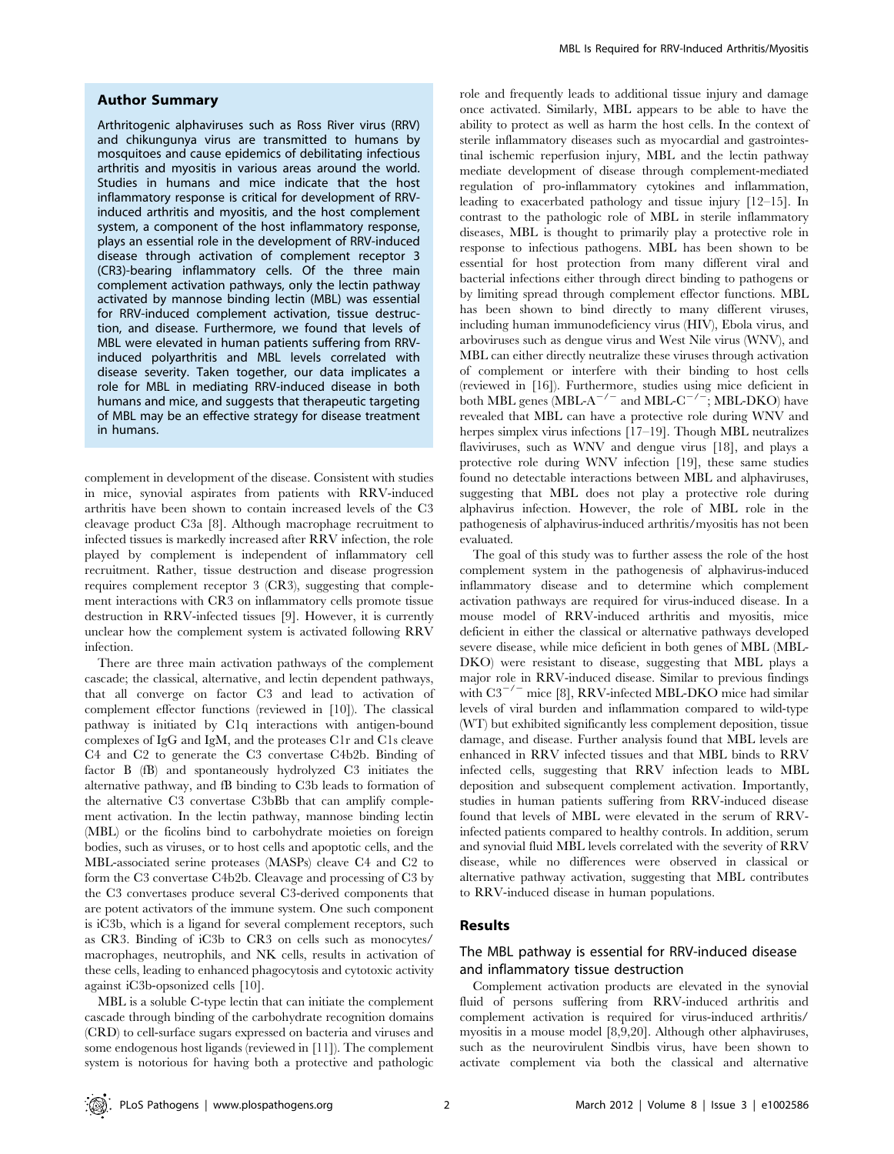## Author Summary

Arthritogenic alphaviruses such as Ross River virus (RRV) and chikungunya virus are transmitted to humans by mosquitoes and cause epidemics of debilitating infectious arthritis and myositis in various areas around the world. Studies in humans and mice indicate that the host inflammatory response is critical for development of RRVinduced arthritis and myositis, and the host complement system, a component of the host inflammatory response, plays an essential role in the development of RRV-induced disease through activation of complement receptor 3 (CR3)-bearing inflammatory cells. Of the three main complement activation pathways, only the lectin pathway activated by mannose binding lectin (MBL) was essential for RRV-induced complement activation, tissue destruction, and disease. Furthermore, we found that levels of MBL were elevated in human patients suffering from RRVinduced polyarthritis and MBL levels correlated with disease severity. Taken together, our data implicates a role for MBL in mediating RRV-induced disease in both humans and mice, and suggests that therapeutic targeting of MBL may be an effective strategy for disease treatment in humans.

complement in development of the disease. Consistent with studies in mice, synovial aspirates from patients with RRV-induced arthritis have been shown to contain increased levels of the C3 cleavage product C3a [8]. Although macrophage recruitment to infected tissues is markedly increased after RRV infection, the role played by complement is independent of inflammatory cell recruitment. Rather, tissue destruction and disease progression requires complement receptor 3 (CR3), suggesting that complement interactions with CR3 on inflammatory cells promote tissue destruction in RRV-infected tissues [9]. However, it is currently unclear how the complement system is activated following RRV infection.

There are three main activation pathways of the complement cascade; the classical, alternative, and lectin dependent pathways, that all converge on factor C3 and lead to activation of complement effector functions (reviewed in [10]). The classical pathway is initiated by C1q interactions with antigen-bound complexes of IgG and IgM, and the proteases C1r and C1s cleave C4 and C2 to generate the C3 convertase C4b2b. Binding of factor B (fB) and spontaneously hydrolyzed C3 initiates the alternative pathway, and fB binding to C3b leads to formation of the alternative C3 convertase C3bBb that can amplify complement activation. In the lectin pathway, mannose binding lectin (MBL) or the ficolins bind to carbohydrate moieties on foreign bodies, such as viruses, or to host cells and apoptotic cells, and the MBL-associated serine proteases (MASPs) cleave C4 and C2 to form the C3 convertase C4b2b. Cleavage and processing of C3 by the C3 convertases produce several C3-derived components that are potent activators of the immune system. One such component is iC3b, which is a ligand for several complement receptors, such as CR3. Binding of iC3b to CR3 on cells such as monocytes/ macrophages, neutrophils, and NK cells, results in activation of these cells, leading to enhanced phagocytosis and cytotoxic activity against iC3b-opsonized cells [10].

MBL is a soluble C-type lectin that can initiate the complement cascade through binding of the carbohydrate recognition domains (CRD) to cell-surface sugars expressed on bacteria and viruses and some endogenous host ligands (reviewed in [11]). The complement system is notorious for having both a protective and pathologic

role and frequently leads to additional tissue injury and damage once activated. Similarly, MBL appears to be able to have the ability to protect as well as harm the host cells. In the context of sterile inflammatory diseases such as myocardial and gastrointestinal ischemic reperfusion injury, MBL and the lectin pathway mediate development of disease through complement-mediated regulation of pro-inflammatory cytokines and inflammation, leading to exacerbated pathology and tissue injury [12–15]. In contrast to the pathologic role of MBL in sterile inflammatory diseases, MBL is thought to primarily play a protective role in response to infectious pathogens. MBL has been shown to be essential for host protection from many different viral and bacterial infections either through direct binding to pathogens or by limiting spread through complement effector functions. MBL has been shown to bind directly to many different viruses, including human immunodeficiency virus (HIV), Ebola virus, and arboviruses such as dengue virus and West Nile virus (WNV), and MBL can either directly neutralize these viruses through activation of complement or interfere with their binding to host cells (reviewed in [16]). Furthermore, studies using mice deficient in both MBL genes (MBL- $A^{-/-}$  and MBL- $C^{-/-}$ ; MBL-DKO) have revealed that MBL can have a protective role during WNV and herpes simplex virus infections [17–19]. Though MBL neutralizes flaviviruses, such as WNV and dengue virus [18], and plays a protective role during WNV infection [19], these same studies found no detectable interactions between MBL and alphaviruses, suggesting that MBL does not play a protective role during alphavirus infection. However, the role of MBL role in the pathogenesis of alphavirus-induced arthritis/myositis has not been evaluated.

The goal of this study was to further assess the role of the host complement system in the pathogenesis of alphavirus-induced inflammatory disease and to determine which complement activation pathways are required for virus-induced disease. In a mouse model of RRV-induced arthritis and myositis, mice deficient in either the classical or alternative pathways developed severe disease, while mice deficient in both genes of MBL (MBL-DKO) were resistant to disease, suggesting that MBL plays a major role in RRV-induced disease. Similar to previous findings with  $C3^{-/-}$  mice [8], RRV-infected MBL-DKO mice had similar levels of viral burden and inflammation compared to wild-type (WT) but exhibited significantly less complement deposition, tissue damage, and disease. Further analysis found that MBL levels are enhanced in RRV infected tissues and that MBL binds to RRV infected cells, suggesting that RRV infection leads to MBL deposition and subsequent complement activation. Importantly, studies in human patients suffering from RRV-induced disease found that levels of MBL were elevated in the serum of RRVinfected patients compared to healthy controls. In addition, serum and synovial fluid MBL levels correlated with the severity of RRV disease, while no differences were observed in classical or alternative pathway activation, suggesting that MBL contributes to RRV-induced disease in human populations.

# Results

# The MBL pathway is essential for RRV-induced disease and inflammatory tissue destruction

Complement activation products are elevated in the synovial fluid of persons suffering from RRV-induced arthritis and complement activation is required for virus-induced arthritis/ myositis in a mouse model [8,9,20]. Although other alphaviruses, such as the neurovirulent Sindbis virus, have been shown to activate complement via both the classical and alternative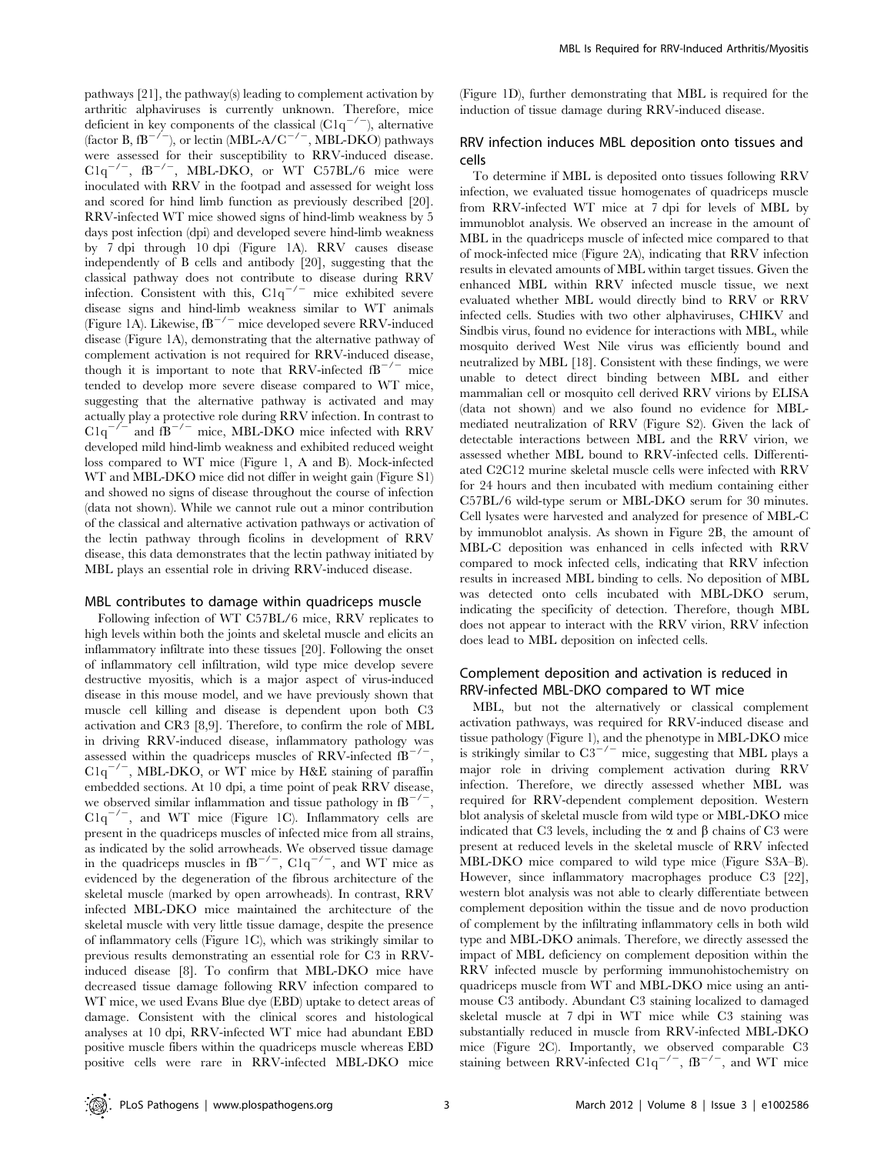pathways [21], the pathway(s) leading to complement activation by arthritic alphaviruses is currently unknown. Therefore, mice deficient in key components of the classical  $(\text{Clq}^{-7})$ , alternative (factor B,  $\text{fB}^{-/-}$ ), or lectin (MBL-A/C<sup>-/-</sup>, MBL-DKO) pathways were assessed for their susceptibility to RRV-induced disease.  $Clq^{-/-}$ ,  $fB^{-/-}$ , MBL-DKO, or WT C57BL/6 mice were inoculated with RRV in the footpad and assessed for weight loss and scored for hind limb function as previously described [20]. RRV-infected WT mice showed signs of hind-limb weakness by 5 days post infection (dpi) and developed severe hind-limb weakness by 7 dpi through 10 dpi (Figure 1A). RRV causes disease independently of B cells and antibody [20], suggesting that the classical pathway does not contribute to disease during RRV infection. Consistent with this,  $Clq^{-/-}$  mice exhibited severe disease signs and hind-limb weakness similar to WT animals (Figure 1A). Likewise,  $fB^{-/-}$  mice developed severe RRV-induced disease (Figure 1A), demonstrating that the alternative pathway of complement activation is not required for RRV-induced disease, though it is important to note that RRV-infected  $IB^{-/-}$  mice tended to develop more severe disease compared to WT mice, suggesting that the alternative pathway is activated and may actually play a protective role during RRV infection. In contrast to  $Clq^{-/-}$  and  $IB^{-/-}$  mice, MBL-DKO mice infected with RRV developed mild hind-limb weakness and exhibited reduced weight loss compared to WT mice (Figure 1, A and B). Mock-infected WT and MBL-DKO mice did not differ in weight gain (Figure S1) and showed no signs of disease throughout the course of infection (data not shown). While we cannot rule out a minor contribution of the classical and alternative activation pathways or activation of the lectin pathway through ficolins in development of RRV disease, this data demonstrates that the lectin pathway initiated by MBL plays an essential role in driving RRV-induced disease.

#### MBL contributes to damage within quadriceps muscle

Following infection of WT C57BL/6 mice, RRV replicates to high levels within both the joints and skeletal muscle and elicits an inflammatory infiltrate into these tissues [20]. Following the onset of inflammatory cell infiltration, wild type mice develop severe destructive myositis, which is a major aspect of virus-induced disease in this mouse model, and we have previously shown that muscle cell killing and disease is dependent upon both C3 activation and CR3 [8,9]. Therefore, to confirm the role of MBL in driving RRV-induced disease, inflammatory pathology was assessed within the quadriceps muscles of RRV-infected  $IB^{-/-}$ ,  $Clq^{-/-}$ , MBL-DKO, or WT mice by H&E staining of paraffin embedded sections. At 10 dpi, a time point of peak RRV disease, we observed similar inflammation and tissue pathology in  $IB^{-/-}$ ,  $Clq^{-/-}$ , and WT mice (Figure 1C). Inflammatory cells are present in the quadriceps muscles of infected mice from all strains, as indicated by the solid arrowheads. We observed tissue damage in the quadriceps muscles in  $f^2$ ,  $C1q^{-/-}$ , and WT mice as evidenced by the degeneration of the fibrous architecture of the skeletal muscle (marked by open arrowheads). In contrast, RRV infected MBL-DKO mice maintained the architecture of the skeletal muscle with very little tissue damage, despite the presence of inflammatory cells (Figure 1C), which was strikingly similar to previous results demonstrating an essential role for C3 in RRVinduced disease [8]. To confirm that MBL-DKO mice have decreased tissue damage following RRV infection compared to WT mice, we used Evans Blue dye (EBD) uptake to detect areas of damage. Consistent with the clinical scores and histological analyses at 10 dpi, RRV-infected WT mice had abundant EBD positive muscle fibers within the quadriceps muscle whereas EBD positive cells were rare in RRV-infected MBL-DKO mice

(Figure 1D), further demonstrating that MBL is required for the induction of tissue damage during RRV-induced disease.

# RRV infection induces MBL deposition onto tissues and cells

To determine if MBL is deposited onto tissues following RRV infection, we evaluated tissue homogenates of quadriceps muscle from RRV-infected WT mice at 7 dpi for levels of MBL by immunoblot analysis. We observed an increase in the amount of MBL in the quadriceps muscle of infected mice compared to that of mock-infected mice (Figure 2A), indicating that RRV infection results in elevated amounts of MBL within target tissues. Given the enhanced MBL within RRV infected muscle tissue, we next evaluated whether MBL would directly bind to RRV or RRV infected cells. Studies with two other alphaviruses, CHIKV and Sindbis virus, found no evidence for interactions with MBL, while mosquito derived West Nile virus was efficiently bound and neutralized by MBL [18]. Consistent with these findings, we were unable to detect direct binding between MBL and either mammalian cell or mosquito cell derived RRV virions by ELISA (data not shown) and we also found no evidence for MBLmediated neutralization of RRV (Figure S2). Given the lack of detectable interactions between MBL and the RRV virion, we assessed whether MBL bound to RRV-infected cells. Differentiated C2C12 murine skeletal muscle cells were infected with RRV for 24 hours and then incubated with medium containing either C57BL/6 wild-type serum or MBL-DKO serum for 30 minutes. Cell lysates were harvested and analyzed for presence of MBL-C by immunoblot analysis. As shown in Figure 2B, the amount of MBL-C deposition was enhanced in cells infected with RRV compared to mock infected cells, indicating that RRV infection results in increased MBL binding to cells. No deposition of MBL was detected onto cells incubated with MBL-DKO serum, indicating the specificity of detection. Therefore, though MBL does not appear to interact with the RRV virion, RRV infection does lead to MBL deposition on infected cells.

# Complement deposition and activation is reduced in RRV-infected MBL-DKO compared to WT mice

MBL, but not the alternatively or classical complement activation pathways, was required for RRV-induced disease and tissue pathology (Figure 1), and the phenotype in MBL-DKO mice is strikingly similar to  $\text{C3}^{-/-}$  mice, suggesting that MBL plays a major role in driving complement activation during RRV infection. Therefore, we directly assessed whether MBL was required for RRV-dependent complement deposition. Western blot analysis of skeletal muscle from wild type or MBL-DKO mice indicated that C3 levels, including the  $\alpha$  and  $\beta$  chains of C3 were present at reduced levels in the skeletal muscle of RRV infected MBL-DKO mice compared to wild type mice (Figure S3A–B). However, since inflammatory macrophages produce C3 [22], western blot analysis was not able to clearly differentiate between complement deposition within the tissue and de novo production of complement by the infiltrating inflammatory cells in both wild type and MBL-DKO animals. Therefore, we directly assessed the impact of MBL deficiency on complement deposition within the RRV infected muscle by performing immunohistochemistry on quadriceps muscle from WT and MBL-DKO mice using an antimouse C3 antibody. Abundant C3 staining localized to damaged skeletal muscle at 7 dpi in WT mice while C3 staining was substantially reduced in muscle from RRV-infected MBL-DKO mice (Figure 2C). Importantly, we observed comparable C3 staining between RRV-infected  $Clq^{-/-}$ ,  $flq^{-/-}$ , and WT mice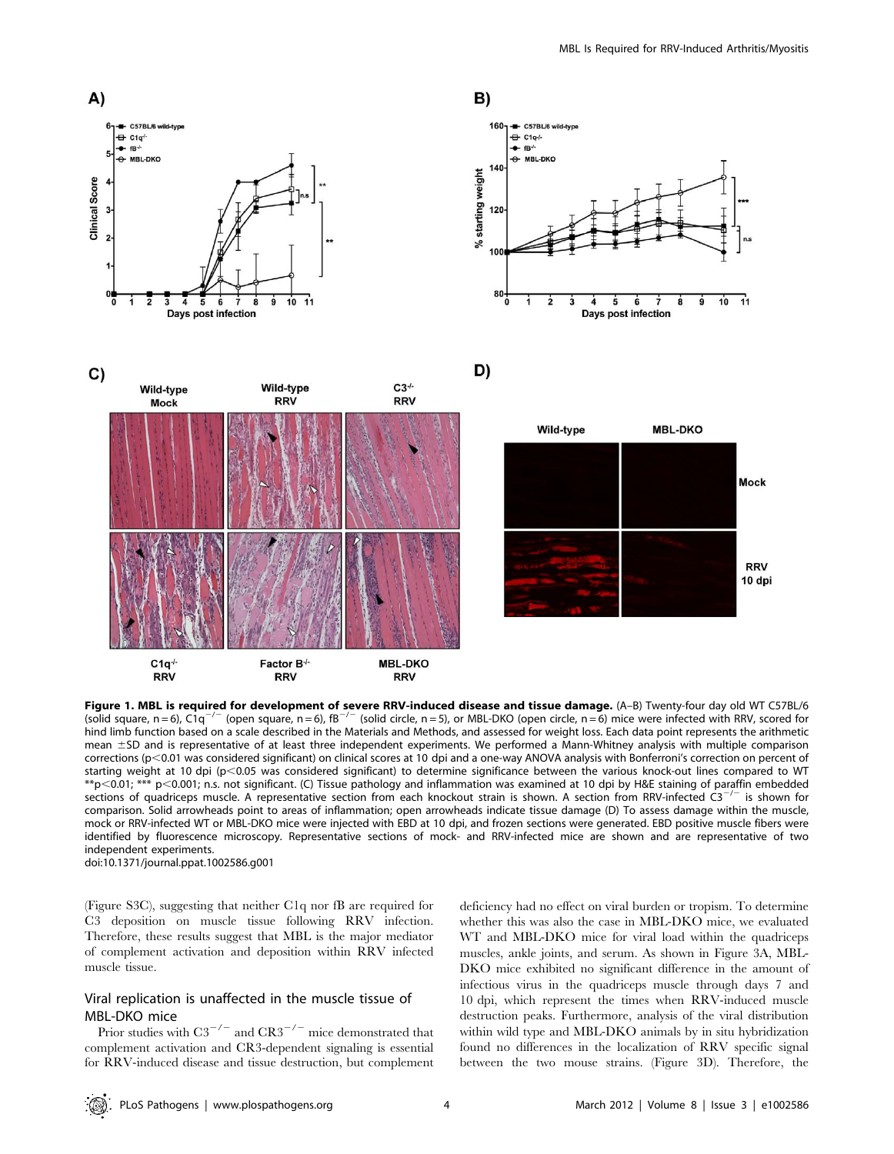

Figure 1. MBL is required for development of severe RRV-induced disease and tissue damage. (A–B) Twenty-four day old WT C57BL/6 (solid square, n = 6), C1q<sup>-/-</sup> (open square, n = 6), fB<sup>-/-</sup> (solid circle, n = 5), or MBL-DKO (open circle, n = 6) mice were infected with RRV, scored for hind limb function based on a scale described in the Materials and Methods, and assessed for weight loss. Each data point represents the arithmetic mean  $\pm$ SD and is representative of at least three independent experiments. We performed a Mann-Whitney analysis with multiple comparison corrections (p<0.01 was considered significant) on clinical scores at 10 dpi and a one-way ANOVA analysis with Bonferroni's correction on percent of starting weight at 10 dpi (p<0.05 was considered significant) to determine significance between the various knock-out lines compared to WT  $*p$  <0.01;  $**$  p <0.001; n.s. not significant. (C) Tissue pathology and inflammation was examined at 10 dpi by H&E staining of paraffin embedded sections of quadriceps muscle. A representative section from each knockout strain is shown. A section from RRV-infected C3<sup>-/-</sup> is shown for comparison. Solid arrowheads point to areas of inflammation; open arrowheads indicate tissue damage (D) To assess damage within the muscle, mock or RRV-infected WT or MBL-DKO mice were injected with EBD at 10 dpi, and frozen sections were generated. EBD positive muscle fibers were identified by fluorescence microscopy. Representative sections of mock- and RRV-infected mice are shown and are representative of two independent experiments.

doi:10.1371/journal.ppat.1002586.g001

(Figure S3C), suggesting that neither C1q nor fB are required for C3 deposition on muscle tissue following RRV infection. Therefore, these results suggest that MBL is the major mediator of complement activation and deposition within RRV infected muscle tissue.

# Viral replication is unaffected in the muscle tissue of MBL-DKO mice

Prior studies with  $C3^{-/-}$  and  $CR3^{-/-}$  mice demonstrated that complement activation and CR3-dependent signaling is essential for RRV-induced disease and tissue destruction, but complement

deficiency had no effect on viral burden or tropism. To determine whether this was also the case in MBL-DKO mice, we evaluated WT and MBL-DKO mice for viral load within the quadriceps muscles, ankle joints, and serum. As shown in Figure 3A, MBL-DKO mice exhibited no significant difference in the amount of infectious virus in the quadriceps muscle through days 7 and 10 dpi, which represent the times when RRV-induced muscle destruction peaks. Furthermore, analysis of the viral distribution within wild type and MBL-DKO animals by in situ hybridization found no differences in the localization of RRV specific signal between the two mouse strains. (Figure 3D). Therefore, the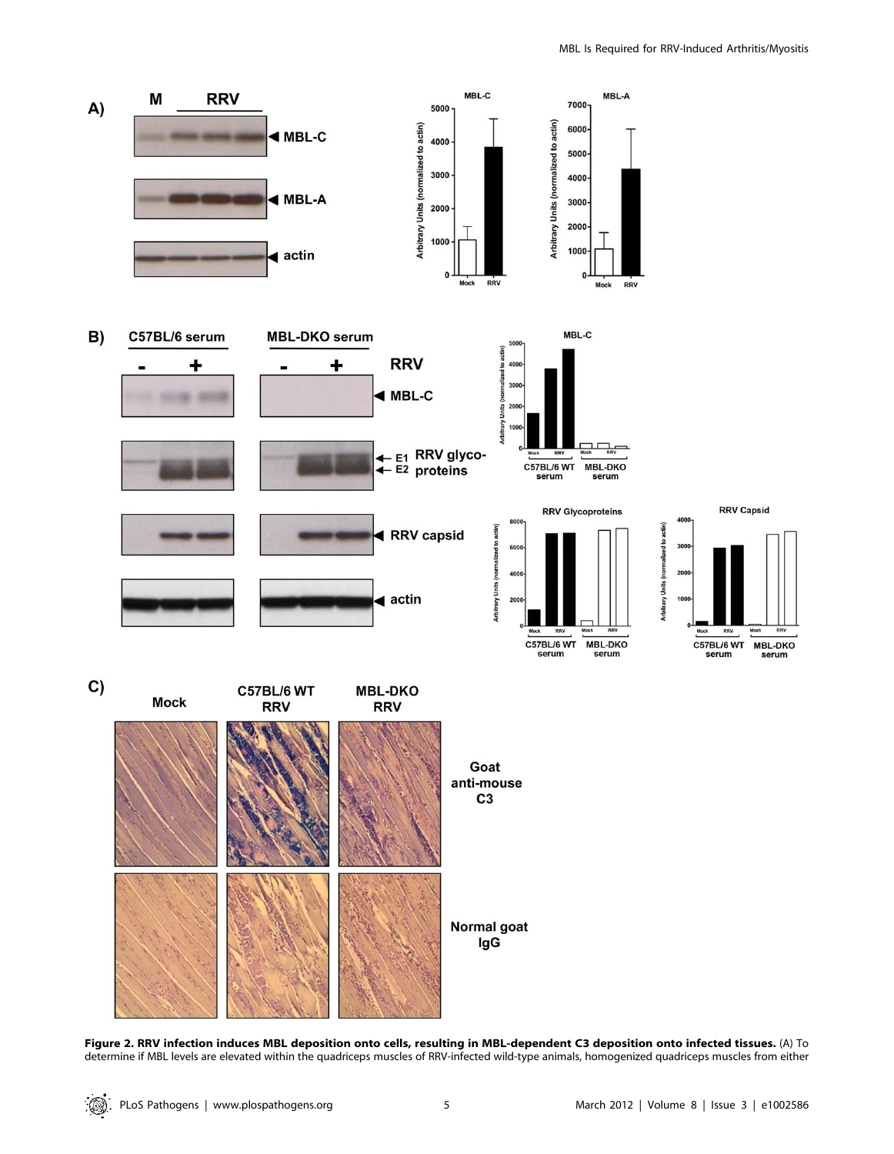

Figure 2. RRV infection induces MBL deposition onto cells, resulting in MBL-dependent C3 deposition onto infected tissues. (A) To determine if MBL levels are elevated within the quadriceps muscles of RRV-infected wild-type animals, homogenized quadriceps muscles from either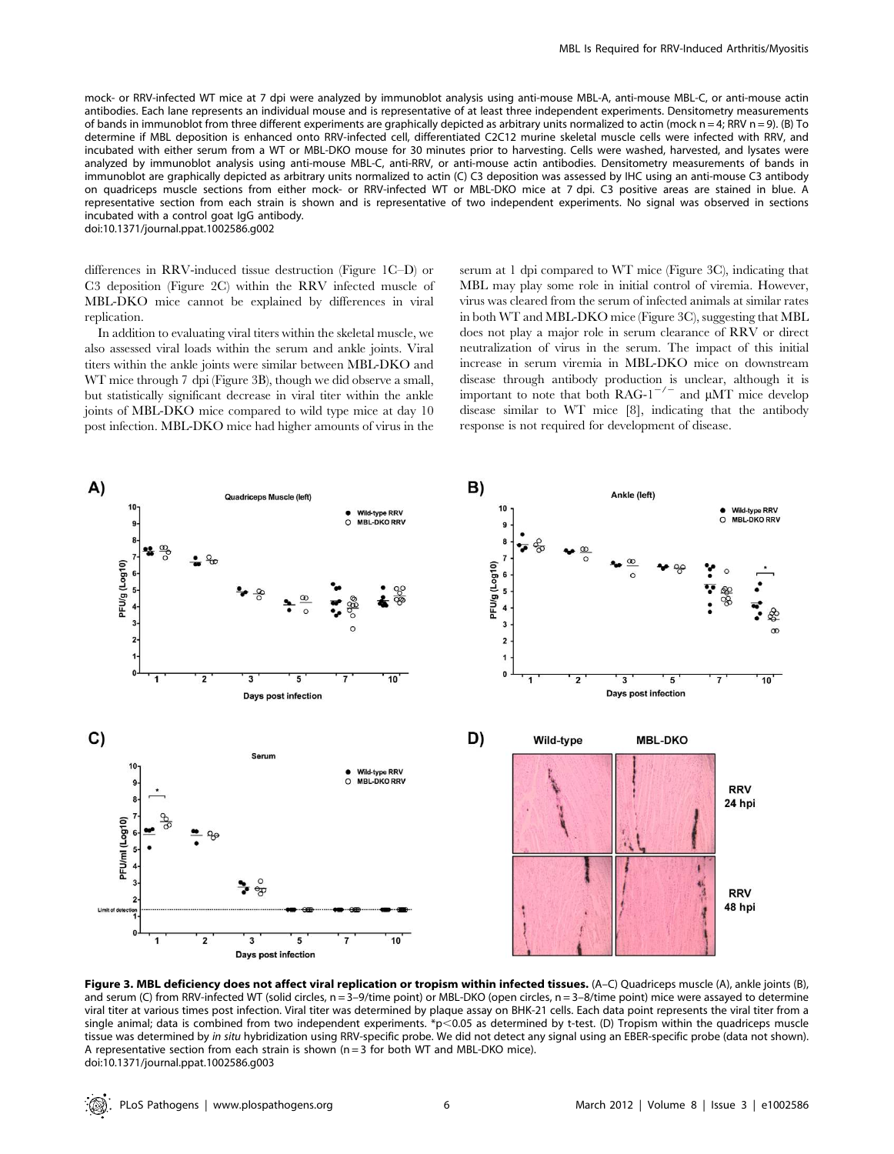mock- or RRV-infected WT mice at 7 dpi were analyzed by immunoblot analysis using anti-mouse MBL-A, anti-mouse MBL-C, or anti-mouse actin antibodies. Each lane represents an individual mouse and is representative of at least three independent experiments. Densitometry measurements of bands in immunoblot from three different experiments are graphically depicted as arbitrary units normalized to actin (mock  $n = 4$ ; RRV  $n = 9$ ). (B) To determine if MBL deposition is enhanced onto RRV-infected cell, differentiated C2C12 murine skeletal muscle cells were infected with RRV, and incubated with either serum from a WT or MBL-DKO mouse for 30 minutes prior to harvesting. Cells were washed, harvested, and lysates were analyzed by immunoblot analysis using anti-mouse MBL-C, anti-RRV, or anti-mouse actin antibodies. Densitometry measurements of bands in immunoblot are graphically depicted as arbitrary units normalized to actin (C) C3 deposition was assessed by IHC using an anti-mouse C3 antibody on quadriceps muscle sections from either mock- or RRV-infected WT or MBL-DKO mice at 7 dpi. C3 positive areas are stained in blue. A representative section from each strain is shown and is representative of two independent experiments. No signal was observed in sections incubated with a control goat IgG antibody. doi:10.1371/journal.ppat.1002586.g002

differences in RRV-induced tissue destruction (Figure 1C–D) or C3 deposition (Figure 2C) within the RRV infected muscle of MBL-DKO mice cannot be explained by differences in viral replication.

In addition to evaluating viral titers within the skeletal muscle, we also assessed viral loads within the serum and ankle joints. Viral titers within the ankle joints were similar between MBL-DKO and WT mice through 7 dpi (Figure 3B), though we did observe a small, but statistically significant decrease in viral titer within the ankle joints of MBL-DKO mice compared to wild type mice at day 10 post infection. MBL-DKO mice had higher amounts of virus in the

serum at 1 dpi compared to WT mice (Figure 3C), indicating that MBL may play some role in initial control of viremia. However, virus was cleared from the serum of infected animals at similar rates in both WT and MBL-DKO mice (Figure 3C), suggesting that MBL does not play a major role in serum clearance of RRV or direct neutralization of virus in the serum. The impact of this initial increase in serum viremia in MBL-DKO mice on downstream disease through antibody production is unclear, although it is important to note that both  $RAG-1^{-/-}$  and  $\mu MT$  mice develop disease similar to WT mice [8], indicating that the antibody response is not required for development of disease.



Figure 3. MBL deficiency does not affect viral replication or tropism within infected tissues. (A-C) Quadriceps muscle (A), ankle joints (B), and serum (C) from RRV-infected WT (solid circles, n = 3–9/time point) or MBL-DKO (open circles, n = 3–8/time point) mice were assayed to determine viral titer at various times post infection. Viral titer was determined by plaque assay on BHK-21 cells. Each data point represents the viral titer from a single animal; data is combined from two independent experiments. \* $p<0.05$  as determined by t-test. (D) Tropism within the quadriceps muscle tissue was determined by in situ hybridization using RRV-specific probe. We did not detect any signal using an EBER-specific probe (data not shown). A representative section from each strain is shown ( $n = 3$  for both WT and MBL-DKO mice). doi:10.1371/journal.ppat.1002586.g003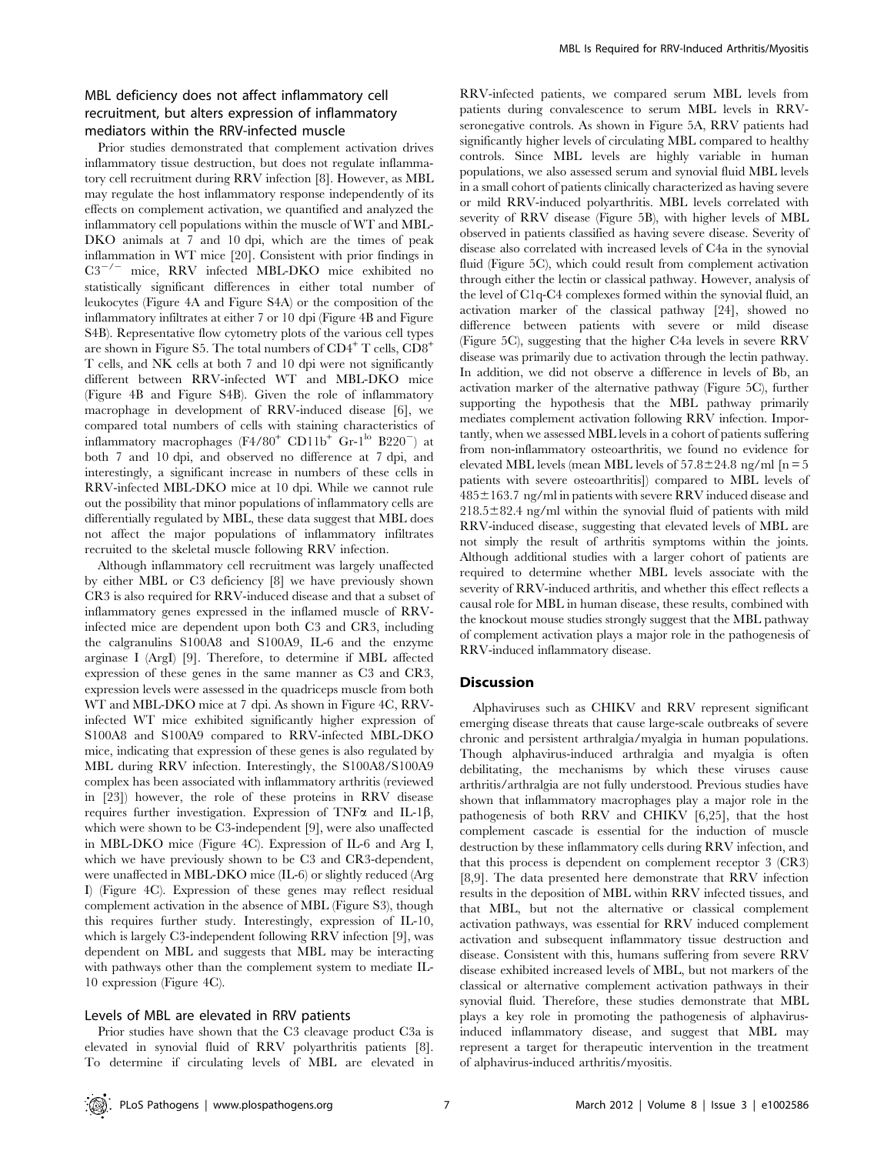# MBL deficiency does not affect inflammatory cell recruitment, but alters expression of inflammatory mediators within the RRV-infected muscle

Prior studies demonstrated that complement activation drives inflammatory tissue destruction, but does not regulate inflammatory cell recruitment during RRV infection [8]. However, as MBL may regulate the host inflammatory response independently of its effects on complement activation, we quantified and analyzed the inflammatory cell populations within the muscle of WT and MBL-DKO animals at 7 and 10 dpi, which are the times of peak inflammation in WT mice [20]. Consistent with prior findings in  $C3^{-/-}$  mice, RRV infected MBL-DKO mice exhibited no statistically significant differences in either total number of leukocytes (Figure 4A and Figure S4A) or the composition of the inflammatory infiltrates at either 7 or 10 dpi (Figure 4B and Figure S4B). Representative flow cytometry plots of the various cell types are shown in Figure S5. The total numbers of  $CD4^+$  T cells,  $CD8^+$ T cells, and NK cells at both 7 and 10 dpi were not significantly different between RRV-infected WT and MBL-DKO mice (Figure 4B and Figure S4B). Given the role of inflammatory macrophage in development of RRV-induced disease [6], we compared total numbers of cells with staining characteristics of inflammatory macrophages  $(F4/80^+$  CD11b<sup>+</sup> Gr-1<sup>lo</sup> B220<sup>-</sup>) at both 7 and 10 dpi, and observed no difference at 7 dpi, and interestingly, a significant increase in numbers of these cells in RRV-infected MBL-DKO mice at 10 dpi. While we cannot rule out the possibility that minor populations of inflammatory cells are differentially regulated by MBL, these data suggest that MBL does not affect the major populations of inflammatory infiltrates recruited to the skeletal muscle following RRV infection.

Although inflammatory cell recruitment was largely unaffected by either MBL or C3 deficiency [8] we have previously shown CR3 is also required for RRV-induced disease and that a subset of inflammatory genes expressed in the inflamed muscle of RRVinfected mice are dependent upon both C3 and CR3, including the calgranulins S100A8 and S100A9, IL-6 and the enzyme arginase I (ArgI) [9]. Therefore, to determine if MBL affected expression of these genes in the same manner as C3 and CR3, expression levels were assessed in the quadriceps muscle from both WT and MBL-DKO mice at 7 dpi. As shown in Figure 4C, RRVinfected WT mice exhibited significantly higher expression of S100A8 and S100A9 compared to RRV-infected MBL-DKO mice, indicating that expression of these genes is also regulated by MBL during RRV infection. Interestingly, the S100A8/S100A9 complex has been associated with inflammatory arthritis (reviewed in [23]) however, the role of these proteins in RRV disease requires further investigation. Expression of TNF $\alpha$  and IL-1 $\beta$ , which were shown to be C3-independent [9], were also unaffected in MBL-DKO mice (Figure 4C). Expression of IL-6 and Arg I, which we have previously shown to be C3 and CR3-dependent, were unaffected in MBL-DKO mice (IL-6) or slightly reduced (Arg I) (Figure 4C). Expression of these genes may reflect residual complement activation in the absence of MBL (Figure S3), though this requires further study. Interestingly, expression of IL-10, which is largely C3-independent following RRV infection [9], was dependent on MBL and suggests that MBL may be interacting with pathways other than the complement system to mediate IL-10 expression (Figure 4C).

#### Levels of MBL are elevated in RRV patients

Prior studies have shown that the C3 cleavage product C3a is elevated in synovial fluid of RRV polyarthritis patients [8]. To determine if circulating levels of MBL are elevated in RRV-infected patients, we compared serum MBL levels from patients during convalescence to serum MBL levels in RRVseronegative controls. As shown in Figure 5A, RRV patients had significantly higher levels of circulating MBL compared to healthy controls. Since MBL levels are highly variable in human populations, we also assessed serum and synovial fluid MBL levels in a small cohort of patients clinically characterized as having severe or mild RRV-induced polyarthritis. MBL levels correlated with severity of RRV disease (Figure 5B), with higher levels of MBL observed in patients classified as having severe disease. Severity of disease also correlated with increased levels of C4a in the synovial fluid (Figure 5C), which could result from complement activation through either the lectin or classical pathway. However, analysis of the level of C1q-C4 complexes formed within the synovial fluid, an activation marker of the classical pathway [24], showed no difference between patients with severe or mild disease (Figure 5C), suggesting that the higher C4a levels in severe RRV disease was primarily due to activation through the lectin pathway. In addition, we did not observe a difference in levels of Bb, an activation marker of the alternative pathway (Figure 5C), further supporting the hypothesis that the MBL pathway primarily mediates complement activation following RRV infection. Importantly, when we assessed MBL levels in a cohort of patients suffering from non-inflammatory osteoarthritis, we found no evidence for elevated MBL levels (mean MBL levels of  $57.8\pm24.8$  ng/ml [n = 5 patients with severe osteoarthritis]) compared to MBL levels of  $485\pm163.7$  ng/ml in patients with severe RRV induced disease and  $218.5\pm82.4$  ng/ml within the synovial fluid of patients with mild RRV-induced disease, suggesting that elevated levels of MBL are not simply the result of arthritis symptoms within the joints. Although additional studies with a larger cohort of patients are required to determine whether MBL levels associate with the severity of RRV-induced arthritis, and whether this effect reflects a causal role for MBL in human disease, these results, combined with the knockout mouse studies strongly suggest that the MBL pathway of complement activation plays a major role in the pathogenesis of RRV-induced inflammatory disease.

## **Discussion**

Alphaviruses such as CHIKV and RRV represent significant emerging disease threats that cause large-scale outbreaks of severe chronic and persistent arthralgia/myalgia in human populations. Though alphavirus-induced arthralgia and myalgia is often debilitating, the mechanisms by which these viruses cause arthritis/arthralgia are not fully understood. Previous studies have shown that inflammatory macrophages play a major role in the pathogenesis of both RRV and CHIKV [6,25], that the host complement cascade is essential for the induction of muscle destruction by these inflammatory cells during RRV infection, and that this process is dependent on complement receptor 3 (CR3) [8,9]. The data presented here demonstrate that RRV infection results in the deposition of MBL within RRV infected tissues, and that MBL, but not the alternative or classical complement activation pathways, was essential for RRV induced complement activation and subsequent inflammatory tissue destruction and disease. Consistent with this, humans suffering from severe RRV disease exhibited increased levels of MBL, but not markers of the classical or alternative complement activation pathways in their synovial fluid. Therefore, these studies demonstrate that MBL plays a key role in promoting the pathogenesis of alphavirusinduced inflammatory disease, and suggest that MBL may represent a target for therapeutic intervention in the treatment of alphavirus-induced arthritis/myositis.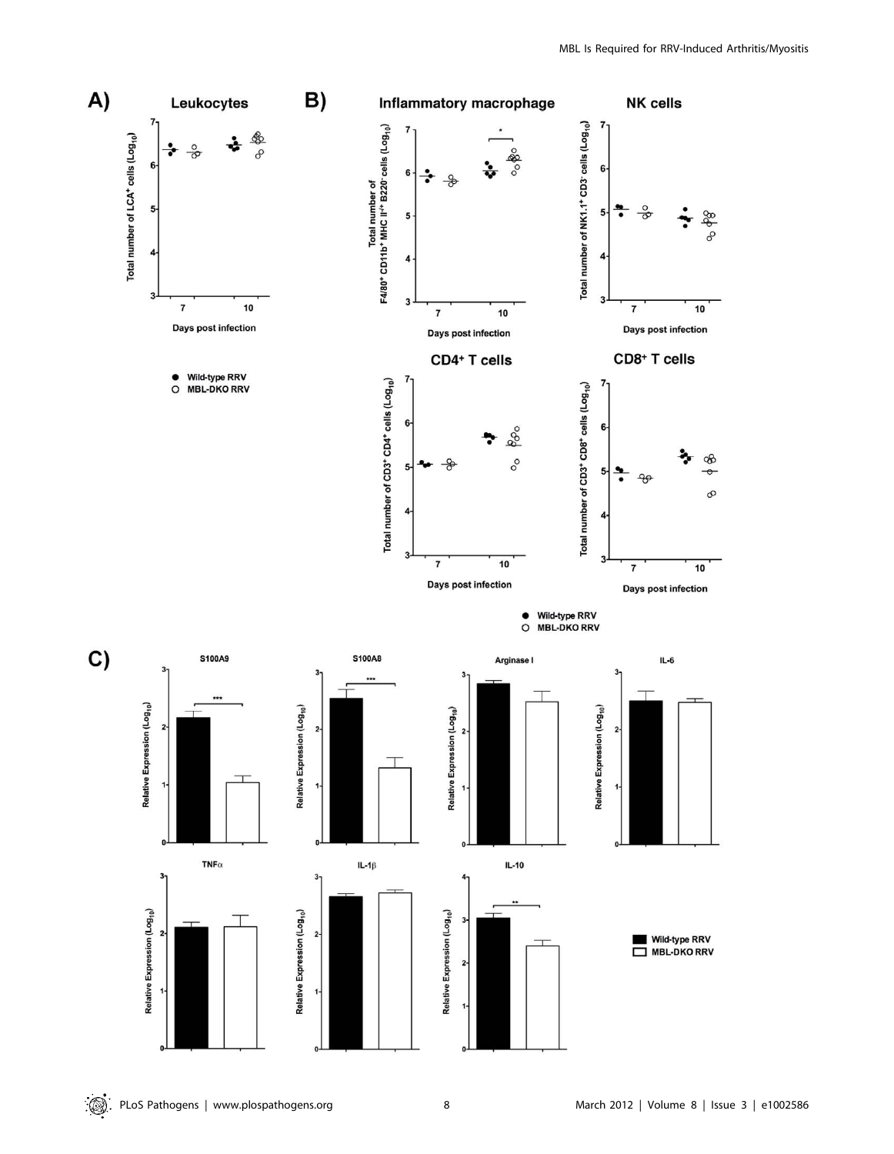

 $\frac{1}{2}$ . PLoS Pathogens | www.plospathogens.org 8 March 2012 | Volume 8 | Issue 3 | e1002586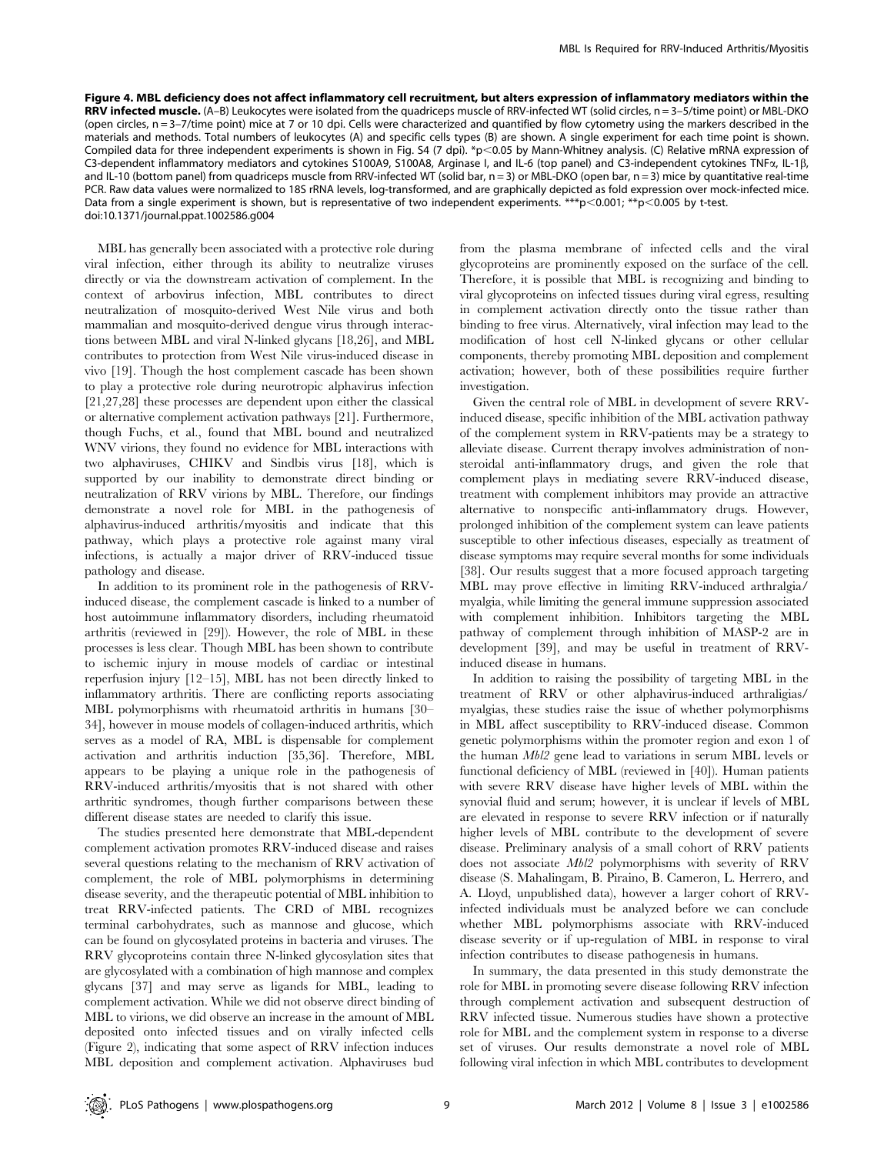Figure 4. MBL deficiency does not affect inflammatory cell recruitment, but alters expression of inflammatory mediators within the RRV infected muscle. (A–B) Leukocytes were isolated from the quadriceps muscle of RRV-infected WT (solid circles, n = 3–5/time point) or MBL-DKO (open circles,  $n = 3-7$ /time point) mice at 7 or 10 dpi. Cells were characterized and quantified by flow cytometry using the markers described in the materials and methods. Total numbers of leukocytes (A) and specific cells types (B) are shown. A single experiment for each time point is shown. Compiled data for three independent experiments is shown in Fig. S4 (7 dpi). \*p<0.05 by Mann-Whitney analysis. (C) Relative mRNA expression of C3-dependent inflammatory mediators and cytokines S100A9, S100A8, Arginase I, and IL-6 (top panel) and C3-independent cytokines TNF $\alpha$ , IL-1 $\beta$ , and IL-10 (bottom panel) from quadriceps muscle from RRV-infected WT (solid bar, n = 3) or MBL-DKO (open bar, n = 3) mice by quantitative real-time PCR. Raw data values were normalized to 18S rRNA levels, log-transformed, and are graphically depicted as fold expression over mock-infected mice. Data from a single experiment is shown, but is representative of two independent experiments. \*\*\*p<0.001; \*\*p<0.005 by t-test. doi:10.1371/journal.ppat.1002586.g004

MBL has generally been associated with a protective role during viral infection, either through its ability to neutralize viruses directly or via the downstream activation of complement. In the context of arbovirus infection, MBL contributes to direct neutralization of mosquito-derived West Nile virus and both mammalian and mosquito-derived dengue virus through interactions between MBL and viral N-linked glycans [18,26], and MBL contributes to protection from West Nile virus-induced disease in vivo [19]. Though the host complement cascade has been shown to play a protective role during neurotropic alphavirus infection [21,27,28] these processes are dependent upon either the classical or alternative complement activation pathways [21]. Furthermore, though Fuchs, et al., found that MBL bound and neutralized WNV virions, they found no evidence for MBL interactions with two alphaviruses, CHIKV and Sindbis virus [18], which is supported by our inability to demonstrate direct binding or neutralization of RRV virions by MBL. Therefore, our findings demonstrate a novel role for MBL in the pathogenesis of alphavirus-induced arthritis/myositis and indicate that this pathway, which plays a protective role against many viral infections, is actually a major driver of RRV-induced tissue pathology and disease.

In addition to its prominent role in the pathogenesis of RRVinduced disease, the complement cascade is linked to a number of host autoimmune inflammatory disorders, including rheumatoid arthritis (reviewed in [29]). However, the role of MBL in these processes is less clear. Though MBL has been shown to contribute to ischemic injury in mouse models of cardiac or intestinal reperfusion injury [12–15], MBL has not been directly linked to inflammatory arthritis. There are conflicting reports associating MBL polymorphisms with rheumatoid arthritis in humans [30– 34], however in mouse models of collagen-induced arthritis, which serves as a model of RA, MBL is dispensable for complement activation and arthritis induction [35,36]. Therefore, MBL appears to be playing a unique role in the pathogenesis of RRV-induced arthritis/myositis that is not shared with other arthritic syndromes, though further comparisons between these different disease states are needed to clarify this issue.

The studies presented here demonstrate that MBL-dependent complement activation promotes RRV-induced disease and raises several questions relating to the mechanism of RRV activation of complement, the role of MBL polymorphisms in determining disease severity, and the therapeutic potential of MBL inhibition to treat RRV-infected patients. The CRD of MBL recognizes terminal carbohydrates, such as mannose and glucose, which can be found on glycosylated proteins in bacteria and viruses. The RRV glycoproteins contain three N-linked glycosylation sites that are glycosylated with a combination of high mannose and complex glycans [37] and may serve as ligands for MBL, leading to complement activation. While we did not observe direct binding of MBL to virions, we did observe an increase in the amount of MBL deposited onto infected tissues and on virally infected cells (Figure 2), indicating that some aspect of RRV infection induces MBL deposition and complement activation. Alphaviruses bud

from the plasma membrane of infected cells and the viral glycoproteins are prominently exposed on the surface of the cell. Therefore, it is possible that MBL is recognizing and binding to viral glycoproteins on infected tissues during viral egress, resulting in complement activation directly onto the tissue rather than binding to free virus. Alternatively, viral infection may lead to the modification of host cell N-linked glycans or other cellular components, thereby promoting MBL deposition and complement activation; however, both of these possibilities require further investigation.

Given the central role of MBL in development of severe RRVinduced disease, specific inhibition of the MBL activation pathway of the complement system in RRV-patients may be a strategy to alleviate disease. Current therapy involves administration of nonsteroidal anti-inflammatory drugs, and given the role that complement plays in mediating severe RRV-induced disease, treatment with complement inhibitors may provide an attractive alternative to nonspecific anti-inflammatory drugs. However, prolonged inhibition of the complement system can leave patients susceptible to other infectious diseases, especially as treatment of disease symptoms may require several months for some individuals [38]. Our results suggest that a more focused approach targeting MBL may prove effective in limiting RRV-induced arthralgia/ myalgia, while limiting the general immune suppression associated with complement inhibition. Inhibitors targeting the MBL pathway of complement through inhibition of MASP-2 are in development [39], and may be useful in treatment of RRVinduced disease in humans.

In addition to raising the possibility of targeting MBL in the treatment of RRV or other alphavirus-induced arthraligias/ myalgias, these studies raise the issue of whether polymorphisms in MBL affect susceptibility to RRV-induced disease. Common genetic polymorphisms within the promoter region and exon 1 of the human Mbl2 gene lead to variations in serum MBL levels or functional deficiency of MBL (reviewed in [40]). Human patients with severe RRV disease have higher levels of MBL within the synovial fluid and serum; however, it is unclear if levels of MBL are elevated in response to severe RRV infection or if naturally higher levels of MBL contribute to the development of severe disease. Preliminary analysis of a small cohort of RRV patients does not associate Mbl2 polymorphisms with severity of RRV disease (S. Mahalingam, B. Piraino, B. Cameron, L. Herrero, and A. Lloyd, unpublished data), however a larger cohort of RRVinfected individuals must be analyzed before we can conclude whether MBL polymorphisms associate with RRV-induced disease severity or if up-regulation of MBL in response to viral infection contributes to disease pathogenesis in humans.

In summary, the data presented in this study demonstrate the role for MBL in promoting severe disease following RRV infection through complement activation and subsequent destruction of RRV infected tissue. Numerous studies have shown a protective role for MBL and the complement system in response to a diverse set of viruses. Our results demonstrate a novel role of MBL following viral infection in which MBL contributes to development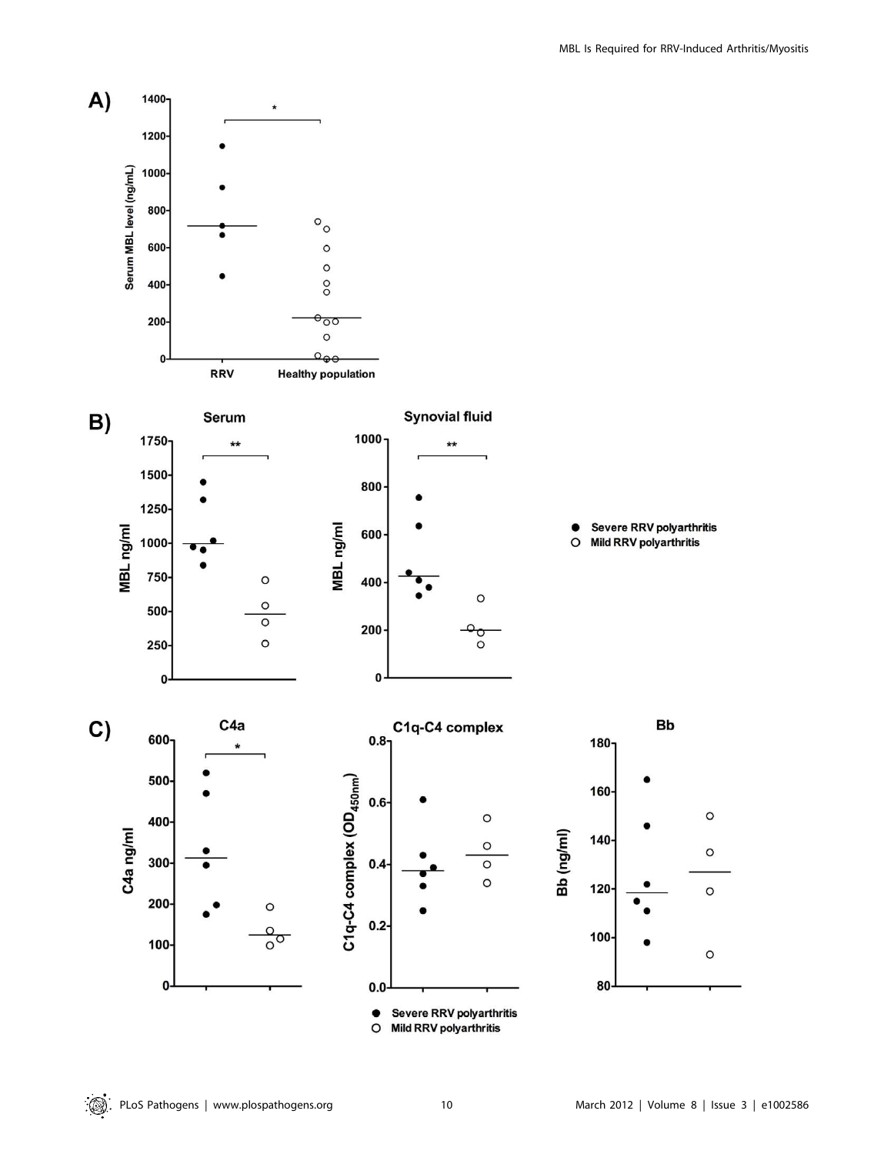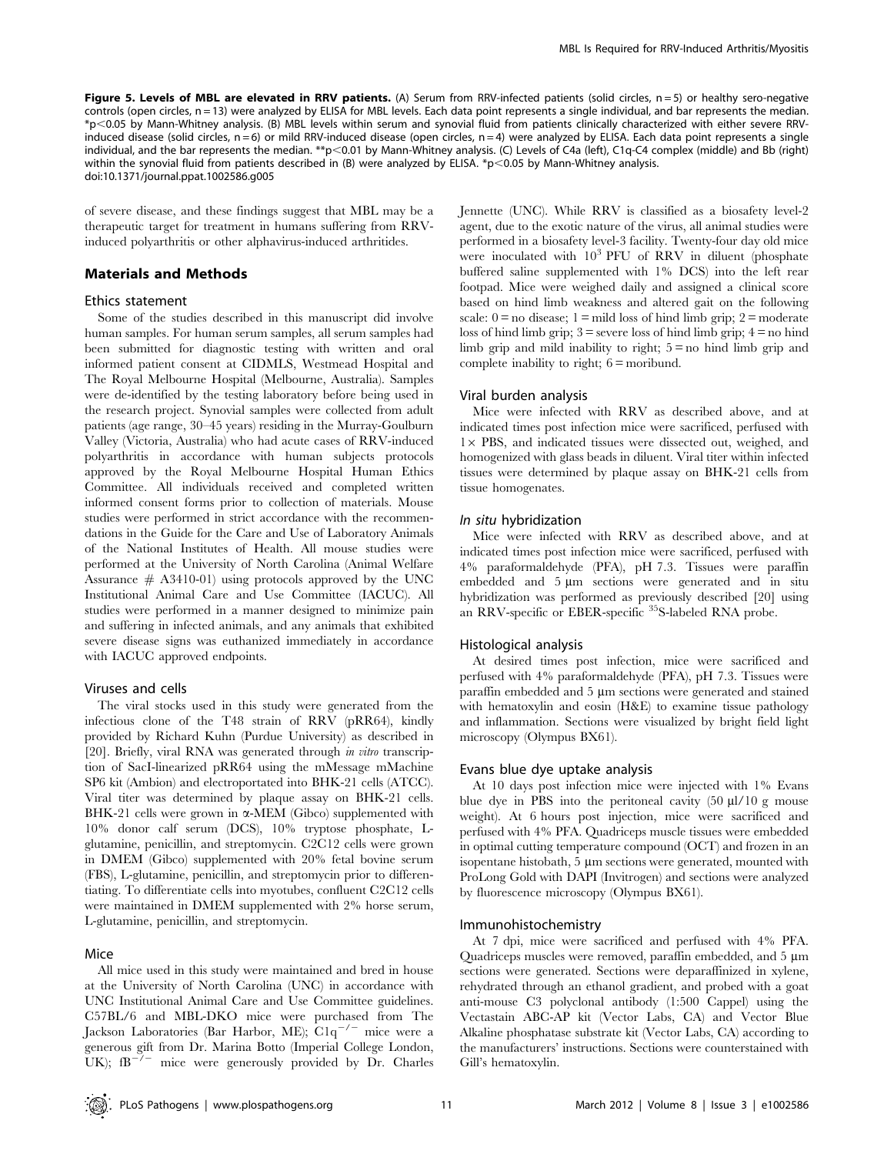Figure 5. Levels of MBL are elevated in RRV patients. (A) Serum from RRV-infected patients (solid circles,  $n = 5$ ) or healthy sero-negative controls (open circles, n = 13) were analyzed by ELISA for MBL levels. Each data point represents a single individual, and bar represents the median. \*p,0.05 by Mann-Whitney analysis. (B) MBL levels within serum and synovial fluid from patients clinically characterized with either severe RRVinduced disease (solid circles,  $n = 6$ ) or mild RRV-induced disease (open circles,  $n = 4$ ) were analyzed by ELISA. Each data point represents a single individual, and the bar represents the median. \*\*p<0.01 by Mann-Whitney analysis. (C) Levels of C4a (left), C1q-C4 complex (middle) and Bb (right) within the synovial fluid from patients described in  $(B)$  were analyzed by ELISA. \*p<0.05 by Mann-Whitney analysis. doi:10.1371/journal.ppat.1002586.g005

of severe disease, and these findings suggest that MBL may be a therapeutic target for treatment in humans suffering from RRVinduced polyarthritis or other alphavirus-induced arthritides.

# Materials and Methods

### Ethics statement

Some of the studies described in this manuscript did involve human samples. For human serum samples, all serum samples had been submitted for diagnostic testing with written and oral informed patient consent at CIDMLS, Westmead Hospital and The Royal Melbourne Hospital (Melbourne, Australia). Samples were de-identified by the testing laboratory before being used in the research project. Synovial samples were collected from adult patients (age range, 30–45 years) residing in the Murray-Goulburn Valley (Victoria, Australia) who had acute cases of RRV-induced polyarthritis in accordance with human subjects protocols approved by the Royal Melbourne Hospital Human Ethics Committee. All individuals received and completed written informed consent forms prior to collection of materials. Mouse studies were performed in strict accordance with the recommendations in the Guide for the Care and Use of Laboratory Animals of the National Institutes of Health. All mouse studies were performed at the University of North Carolina (Animal Welfare Assurance  $#$  A3410-01) using protocols approved by the UNC Institutional Animal Care and Use Committee (IACUC). All studies were performed in a manner designed to minimize pain and suffering in infected animals, and any animals that exhibited severe disease signs was euthanized immediately in accordance with IACUC approved endpoints.

#### Viruses and cells

The viral stocks used in this study were generated from the infectious clone of the T48 strain of RRV (pRR64), kindly provided by Richard Kuhn (Purdue University) as described in [20]. Briefly, viral RNA was generated through *in vitro* transcription of SacI-linearized pRR64 using the mMessage mMachine SP6 kit (Ambion) and electroportated into BHK-21 cells (ATCC). Viral titer was determined by plaque assay on BHK-21 cells. BHK-21 cells were grown in  $\alpha$ -MEM (Gibco) supplemented with 10% donor calf serum (DCS), 10% tryptose phosphate, Lglutamine, penicillin, and streptomycin. C2C12 cells were grown in DMEM (Gibco) supplemented with 20% fetal bovine serum (FBS), L-glutamine, penicillin, and streptomycin prior to differentiating. To differentiate cells into myotubes, confluent C2C12 cells were maintained in DMEM supplemented with 2% horse serum, L-glutamine, penicillin, and streptomycin.

#### Mice

All mice used in this study were maintained and bred in house at the University of North Carolina (UNC) in accordance with UNC Institutional Animal Care and Use Committee guidelines. C57BL/6 and MBL-DKO mice were purchased from The Jackson Laboratories (Bar Harbor, ME); C1q<sup>-/-</sup> mice were a generous gift from Dr. Marina Botto (Imperial College London, UK);  $fB^{-/-}$  mice were generously provided by Dr. Charles Jennette (UNC). While RRV is classified as a biosafety level-2 agent, due to the exotic nature of the virus, all animal studies were performed in a biosafety level-3 facility. Twenty-four day old mice were inoculated with 10<sup>3</sup> PFU of RRV in diluent (phosphate buffered saline supplemented with 1% DCS) into the left rear footpad. Mice were weighed daily and assigned a clinical score based on hind limb weakness and altered gait on the following scale:  $0 =$  no disease;  $1 =$  mild loss of hind limb grip;  $2 =$  moderate loss of hind limb grip;  $3 =$  severe loss of hind limb grip;  $4 =$  no hind limb grip and mild inability to right; 5 = no hind limb grip and complete inability to right;  $6 =$  moribund.

## Viral burden analysis

Mice were infected with RRV as described above, and at indicated times post infection mice were sacrificed, perfused with  $1\times$  PBS, and indicated tissues were dissected out, weighed, and homogenized with glass beads in diluent. Viral titer within infected tissues were determined by plaque assay on BHK-21 cells from tissue homogenates.

#### In situ hybridization

Mice were infected with RRV as described above, and at indicated times post infection mice were sacrificed, perfused with 4% paraformaldehyde (PFA), pH 7.3. Tissues were paraffin embedded and  $5 \mu m$  sections were generated and in situ hybridization was performed as previously described [20] using an RRV-specific or EBER-specific <sup>35</sup>S-labeled RNA probe.

#### Histological analysis

At desired times post infection, mice were sacrificed and perfused with 4% paraformaldehyde (PFA), pH 7.3. Tissues were paraffin embedded and  $5 \mu m$  sections were generated and stained with hematoxylin and eosin (H&E) to examine tissue pathology and inflammation. Sections were visualized by bright field light microscopy (Olympus BX61).

## Evans blue dye uptake analysis

At 10 days post infection mice were injected with 1% Evans blue dye in PBS into the peritoneal cavity  $(50 \mu l/10)$  g mouse weight). At 6 hours post injection, mice were sacrificed and perfused with 4% PFA. Quadriceps muscle tissues were embedded in optimal cutting temperature compound (OCT) and frozen in an isopentane histobath, 5  $\mu$ m sections were generated, mounted with ProLong Gold with DAPI (Invitrogen) and sections were analyzed by fluorescence microscopy (Olympus BX61).

#### Immunohistochemistry

At 7 dpi, mice were sacrificed and perfused with 4% PFA. Quadriceps muscles were removed, paraffin embedded, and  $5 \mu m$ sections were generated. Sections were deparaffinized in xylene, rehydrated through an ethanol gradient, and probed with a goat anti-mouse C3 polyclonal antibody (1:500 Cappel) using the Vectastain ABC-AP kit (Vector Labs, CA) and Vector Blue Alkaline phosphatase substrate kit (Vector Labs, CA) according to the manufacturers' instructions. Sections were counterstained with Gill's hematoxylin.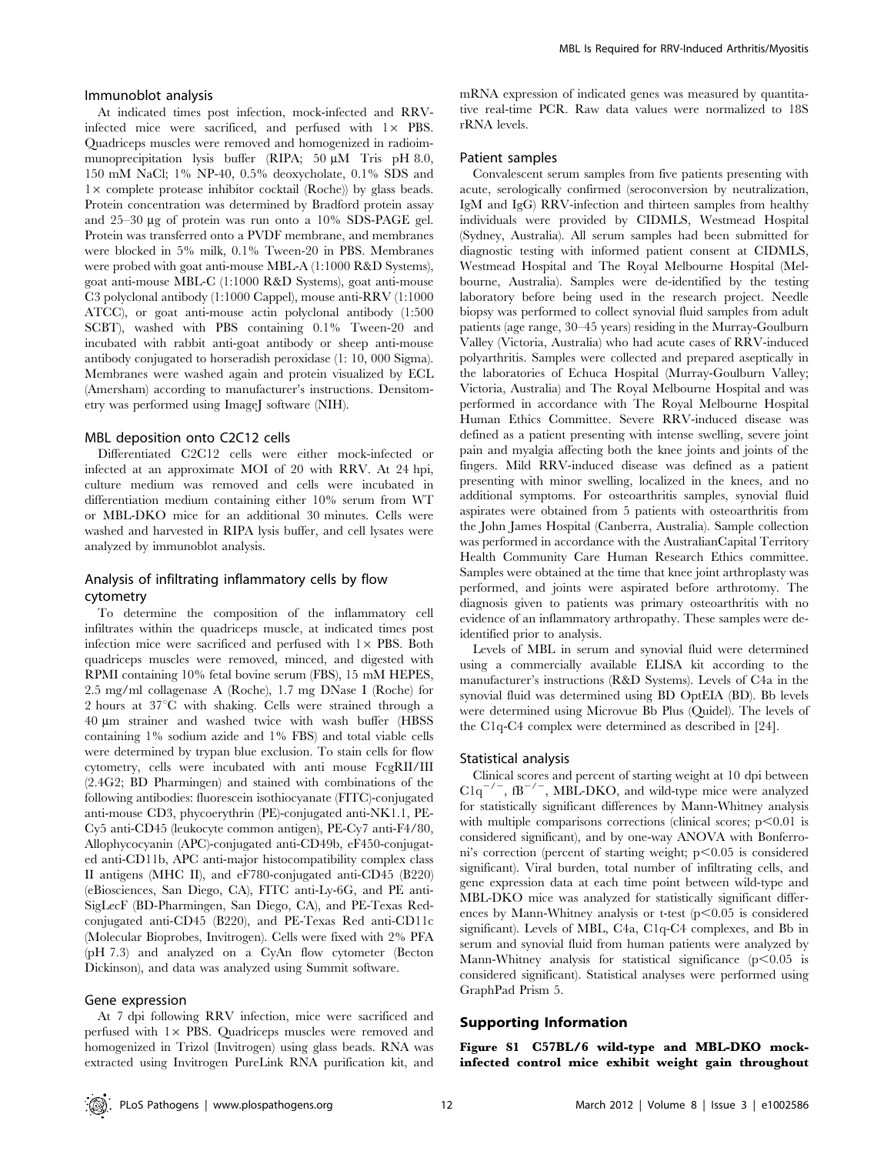#### Immunoblot analysis

At indicated times post infection, mock-infected and RRVinfected mice were sacrificed, and perfused with  $1 \times$  PBS. Quadriceps muscles were removed and homogenized in radioimmunoprecipitation lysis buffer (RIPA; 50 µM Tris pH 8.0, 150 mM NaCl; 1% NP-40, 0.5% deoxycholate, 0.1% SDS and  $1 \times$  complete protease inhibitor cocktail (Roche)) by glass beads. Protein concentration was determined by Bradford protein assay and 25-30 µg of protein was run onto a 10% SDS-PAGE gel. Protein was transferred onto a PVDF membrane, and membranes were blocked in 5% milk, 0.1% Tween-20 in PBS. Membranes were probed with goat anti-mouse MBL-A (1:1000 R&D Systems), goat anti-mouse MBL-C (1:1000 R&D Systems), goat anti-mouse C3 polyclonal antibody (1:1000 Cappel), mouse anti-RRV (1:1000 ATCC), or goat anti-mouse actin polyclonal antibody (1:500 SCBT), washed with PBS containing 0.1% Tween-20 and incubated with rabbit anti-goat antibody or sheep anti-mouse antibody conjugated to horseradish peroxidase (1: 10, 000 Sigma). Membranes were washed again and protein visualized by ECL (Amersham) according to manufacturer's instructions. Densitometry was performed using ImageJ software (NIH).

#### MBL deposition onto C2C12 cells

Differentiated C2C12 cells were either mock-infected or infected at an approximate MOI of 20 with RRV. At 24 hpi, culture medium was removed and cells were incubated in differentiation medium containing either 10% serum from WT or MBL-DKO mice for an additional 30 minutes. Cells were washed and harvested in RIPA lysis buffer, and cell lysates were analyzed by immunoblot analysis.

# Analysis of infiltrating inflammatory cells by flow cytometry

To determine the composition of the inflammatory cell infiltrates within the quadriceps muscle, at indicated times post infection mice were sacrificed and perfused with  $1\times$  PBS. Both quadriceps muscles were removed, minced, and digested with RPMI containing 10% fetal bovine serum (FBS), 15 mM HEPES, 2.5 mg/ml collagenase A (Roche), 1.7 mg DNase I (Roche) for 2 hours at  $37^{\circ}$ C with shaking. Cells were strained through a 40 mm strainer and washed twice with wash buffer (HBSS containing 1% sodium azide and 1% FBS) and total viable cells were determined by trypan blue exclusion. To stain cells for flow cytometry, cells were incubated with anti mouse FcgRII/III (2.4G2; BD Pharmingen) and stained with combinations of the following antibodies: fluorescein isothiocyanate (FITC)-conjugated anti-mouse CD3, phycoerythrin (PE)-conjugated anti-NK1.1, PE-Cy5 anti-CD45 (leukocyte common antigen), PE-Cy7 anti-F4/80, Allophycocyanin (APC)-conjugated anti-CD49b, eF450-conjugated anti-CD11b, APC anti-major histocompatibility complex class II antigens (MHC II), and eF780-conjugated anti-CD45 (B220) (eBiosciences, San Diego, CA), FITC anti-Ly-6G, and PE anti-SigLecF (BD-Pharmingen, San Diego, CA), and PE-Texas Redconjugated anti-CD45 (B220), and PE-Texas Red anti-CD11c (Molecular Bioprobes, Invitrogen). Cells were fixed with 2% PFA (pH 7.3) and analyzed on a CyAn flow cytometer (Becton Dickinson), and data was analyzed using Summit software.

# Gene expression

At 7 dpi following RRV infection, mice were sacrificed and perfused with  $1 \times$  PBS. Quadriceps muscles were removed and homogenized in Trizol (Invitrogen) using glass beads. RNA was extracted using Invitrogen PureLink RNA purification kit, and

mRNA expression of indicated genes was measured by quantitative real-time PCR. Raw data values were normalized to 18S rRNA levels.

## Patient samples

Convalescent serum samples from five patients presenting with acute, serologically confirmed (seroconversion by neutralization, IgM and IgG) RRV-infection and thirteen samples from healthy individuals were provided by CIDMLS, Westmead Hospital (Sydney, Australia). All serum samples had been submitted for diagnostic testing with informed patient consent at CIDMLS, Westmead Hospital and The Royal Melbourne Hospital (Melbourne, Australia). Samples were de-identified by the testing laboratory before being used in the research project. Needle biopsy was performed to collect synovial fluid samples from adult patients (age range, 30–45 years) residing in the Murray-Goulburn Valley (Victoria, Australia) who had acute cases of RRV-induced polyarthritis. Samples were collected and prepared aseptically in the laboratories of Echuca Hospital (Murray-Goulburn Valley; Victoria, Australia) and The Royal Melbourne Hospital and was performed in accordance with The Royal Melbourne Hospital Human Ethics Committee. Severe RRV-induced disease was defined as a patient presenting with intense swelling, severe joint pain and myalgia affecting both the knee joints and joints of the fingers. Mild RRV-induced disease was defined as a patient presenting with minor swelling, localized in the knees, and no additional symptoms. For osteoarthritis samples, synovial fluid aspirates were obtained from 5 patients with osteoarthritis from the John James Hospital (Canberra, Australia). Sample collection was performed in accordance with the AustralianCapital Territory Health Community Care Human Research Ethics committee. Samples were obtained at the time that knee joint arthroplasty was performed, and joints were aspirated before arthrotomy. The diagnosis given to patients was primary osteoarthritis with no evidence of an inflammatory arthropathy. These samples were deidentified prior to analysis.

Levels of MBL in serum and synovial fluid were determined using a commercially available ELISA kit according to the manufacturer's instructions (R&D Systems). Levels of C4a in the synovial fluid was determined using BD OptEIA (BD). Bb levels were determined using Microvue Bb Plus (Quidel). The levels of the C1q-C4 complex were determined as described in [24].

#### Statistical analysis

Clinical scores and percent of starting weight at 10 dpi between  $Clq^{-/-}$ ,  $fB^{-/-}$ , MBL-DKO, and wild-type mice were analyzed for statistically significant differences by Mann-Whitney analysis with multiple comparisons corrections (clinical scores;  $p<0.01$  is considered significant), and by one-way ANOVA with Bonferroni's correction (percent of starting weight;  $p<0.05$  is considered significant). Viral burden, total number of infiltrating cells, and gene expression data at each time point between wild-type and MBL-DKO mice was analyzed for statistically significant differences by Mann-Whitney analysis or t-test  $(p<0.05$  is considered significant). Levels of MBL, C4a, C1q-C4 complexes, and Bb in serum and synovial fluid from human patients were analyzed by Mann-Whitney analysis for statistical significance  $(p<0.05$  is considered significant). Statistical analyses were performed using GraphPad Prism 5.

#### Supporting Information

Figure S1 C57BL/6 wild-type and MBL-DKO mockinfected control mice exhibit weight gain throughout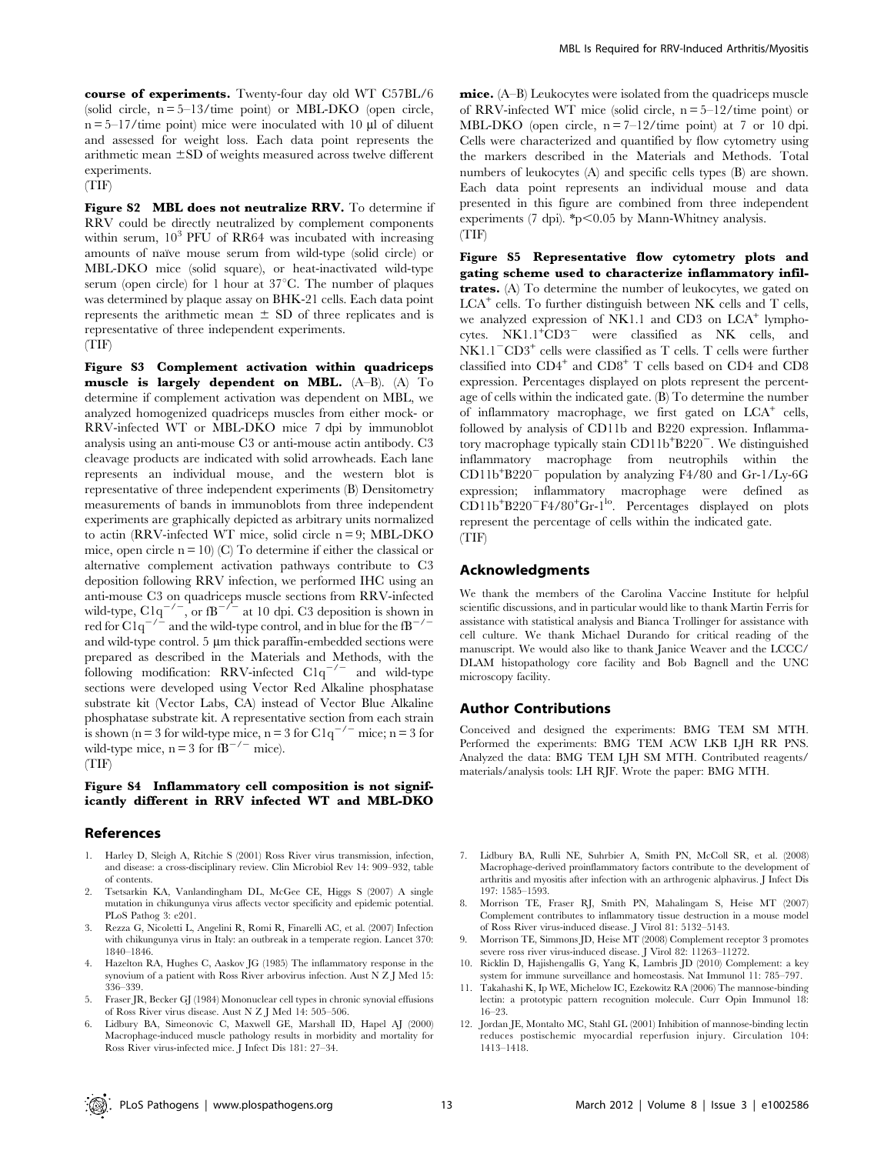course of experiments. Twenty-four day old WT C57BL/6 (solid circle,  $n = 5-13$ /time point) or MBL-DKO (open circle,  $n = 5-17$ /time point) mice were inoculated with 10  $\mu$ l of diluent and assessed for weight loss. Each data point represents the arithmetic mean  $\pm$ SD of weights measured across twelve different experiments.

(TIF)

Figure S2 MBL does not neutralize RRV. To determine if RRV could be directly neutralized by complement components within serum,  $10^3$  PFU of RR64 was incubated with increasing amounts of naïve mouse serum from wild-type (solid circle) or MBL-DKO mice (solid square), or heat-inactivated wild-type serum (open circle) for 1 hour at  $37^{\circ}$ C. The number of plaques was determined by plaque assay on BHK-21 cells. Each data point represents the arithmetic mean  $\pm$  SD of three replicates and is representative of three independent experiments. (TIF)

Figure S3 Complement activation within quadriceps muscle is largely dependent on MBL. (A–B). (A) To determine if complement activation was dependent on MBL, we analyzed homogenized quadriceps muscles from either mock- or RRV-infected WT or MBL-DKO mice 7 dpi by immunoblot analysis using an anti-mouse C3 or anti-mouse actin antibody. C3 cleavage products are indicated with solid arrowheads. Each lane represents an individual mouse, and the western blot is representative of three independent experiments (B) Densitometry measurements of bands in immunoblots from three independent experiments are graphically depicted as arbitrary units normalized to actin (RRV-infected WT mice, solid circle n = 9; MBL-DKO mice, open circle  $n = 10$  (C) To determine if either the classical or alternative complement activation pathways contribute to C3 deposition following RRV infection, we performed IHC using an anti-mouse C3 on quadriceps muscle sections from RRV-infected wild-type,  $Clq^{-/-}$ , or  $IB^{-/-}$  at 10 dpi. C3 deposition is shown in red for  $Clq^{-2}$  and the wild-type control, and in blue for the fB<sup>-2</sup> and wild-type control.  $5 \mu m$  thick paraffin-embedded sections were prepared as described in the Materials and Methods, with the following modification:  $RRV\text{-infected } Clq^{-/-}$  and wild-type sections were developed using Vector Red Alkaline phosphatase substrate kit (Vector Labs, CA) instead of Vector Blue Alkaline phosphatase substrate kit. A representative section from each strain is shown (n = 3 for wild-type mice, n = 3 for C1q<sup>-/-</sup> mice; n = 3 for wild-type mice,  $n = 3$  for fB<sup>-/-</sup> mice). (TIF)

## Figure S4 Inflammatory cell composition is not significantly different in RRV infected WT and MBL-DKO

#### References

- 1. Harley D, Sleigh A, Ritchie S (2001) Ross River virus transmission, infection, and disease: a cross-disciplinary review. Clin Microbiol Rev 14: 909–932, table of contents.
- 2. Tsetsarkin KA, Vanlandingham DL, McGee CE, Higgs S (2007) A single mutation in chikungunya virus affects vector specificity and epidemic potential. PLoS Pathog 3: e201.
- 3. Rezza G, Nicoletti L, Angelini R, Romi R, Finarelli AC, et al. (2007) Infection with chikungunya virus in Italy: an outbreak in a temperate region. Lancet 370: 1840–1846.
- 4. Hazelton RA, Hughes C, Aaskov JG (1985) The inflammatory response in the synovium of a patient with Ross River arbovirus infection. Aust N Z J Med 15: 336–339.
- 5. Fraser JR, Becker GJ (1984) Mononuclear cell types in chronic synovial effusions of Ross River virus disease. Aust N Z J Med 14: 505–506.
- 6. Lidbury BA, Simeonovic C, Maxwell GE, Marshall ID, Hapel AJ (2000) Macrophage-induced muscle pathology results in morbidity and mortality for Ross River virus-infected mice. J Infect Dis 181: 27–34.

mice. (A–B) Leukocytes were isolated from the quadriceps muscle of RRV-infected WT mice (solid circle,  $n = 5-12$ /time point) or MBL-DKO (open circle,  $n = 7-12$ /time point) at 7 or 10 dpi. Cells were characterized and quantified by flow cytometry using the markers described in the Materials and Methods. Total numbers of leukocytes (A) and specific cells types (B) are shown. Each data point represents an individual mouse and data presented in this figure are combined from three independent experiments (7 dpi).  $\frac{1}{2}$ p $\leq$ 0.05 by Mann-Whitney analysis. (TIF)

Figure S5 Representative flow cytometry plots and gating scheme used to characterize inflammatory infiltrates. (A) To determine the number of leukocytes, we gated on LCA<sup>+</sup> cells. To further distinguish between NK cells and T cells, we analyzed expression of NK1.1 and CD3 on LCA<sup>+</sup> lymphocytes.  $NKL.1^+CD3^-$  were classified as  $NK$  cells, and  $NK1.1\textsuperscript{T}CD3^+$  cells were classified as T cells. T cells were further classified into CD4<sup>+</sup> and CD8<sup>+</sup> T cells based on CD4 and CD8 expression. Percentages displayed on plots represent the percentage of cells within the indicated gate. (B) To determine the number of inflammatory macrophage, we first gated on LCA<sup>+</sup> cells, followed by analysis of CD11b and B220 expression. Inflammatory macrophage typically stain CD11b<sup>+</sup>B220<sup>-</sup>. We distinguished inflammatory macrophage from neutrophils within the  $CD11b^{+}B220^{-}$  population by analyzing F4/80 and Gr-1/Ly-6G expression; inflammatory macrophage were defined as CD11b<sup>+</sup>B220<sup>-</sup>F4/80<sup>+</sup>Gr-1<sup>lo</sup>. Percentages displayed on plots represent the percentage of cells within the indicated gate. (TIF)

## Acknowledgments

We thank the members of the Carolina Vaccine Institute for helpful scientific discussions, and in particular would like to thank Martin Ferris for assistance with statistical analysis and Bianca Trollinger for assistance with cell culture. We thank Michael Durando for critical reading of the manuscript. We would also like to thank Janice Weaver and the LCCC/ DLAM histopathology core facility and Bob Bagnell and the UNC microscopy facility.

# Author Contributions

Conceived and designed the experiments: BMG TEM SM MTH. Performed the experiments: BMG TEM ACW LKB LJH RR PNS. Analyzed the data: BMG TEM LJH SM MTH. Contributed reagents/ materials/analysis tools: LH RJF. Wrote the paper: BMG MTH.

- 7. Lidbury BA, Rulli NE, Suhrbier A, Smith PN, McColl SR, et al. (2008) Macrophage-derived proinflammatory factors contribute to the development of arthritis and myositis after infection with an arthrogenic alphavirus. J Infect Dis 197: 1585–1593.
- 8. Morrison TE, Fraser RJ, Smith PN, Mahalingam S, Heise MT (2007) Complement contributes to inflammatory tissue destruction in a mouse model of Ross River virus-induced disease. J Virol 81: 5132–5143.
- 9. Morrison TE, Simmons JD, Heise MT (2008) Complement receptor 3 promotes severe ross river virus-induced disease. J Virol 82: 11263–11272.
- 10. Ricklin D, Hajishengallis G, Yang K, Lambris JD (2010) Complement: a key system for immune surveillance and homeostasis. Nat Immunol 11: 785–797.
- 11. Takahashi K, Ip WE, Michelow IC, Ezekowitz RA (2006) The mannose-binding lectin: a prototypic pattern recognition molecule. Curr Opin Immunol 18: 16–23.
- 12. Jordan JE, Montalto MC, Stahl GL (2001) Inhibition of mannose-binding lectin reduces postischemic myocardial reperfusion injury. Circulation 104: 1413–1418.